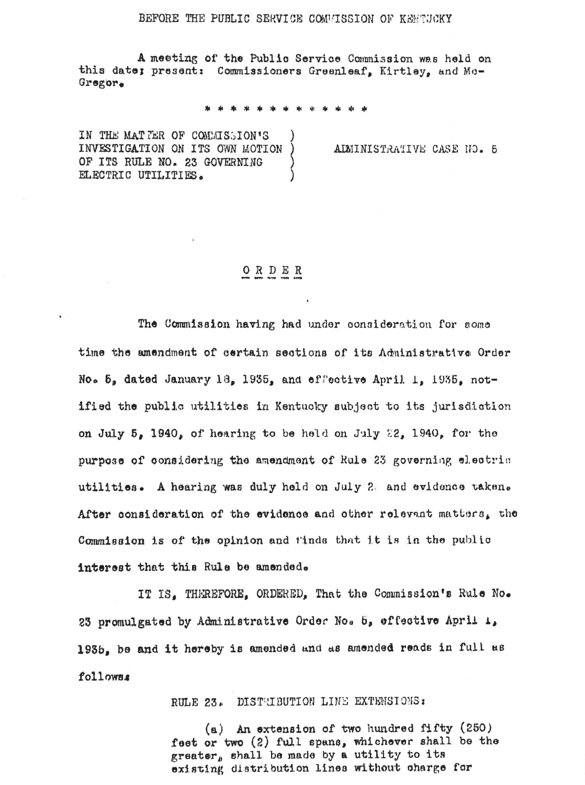## BEFORE THE PUBLIC SERVICE COMPISSION OF KEFTUCKY

A meeting of the Public Service Commission was held on this date; present: Commissioners Greenleaf, Kirtley, and Mo-Gregor.

IN THE MATTER OF COMMISSION'S INVESTIGATION ON ITS OWN MOTION OF ITS RULE NO. 23 GOVERNING ELECTRIC UTILITIES.

ALMINISTRATIVE CASE NO. 5

## $O$  R D E R

The Commission having had under consideration for some time the amendment of certain sections of its Administrative Order No. 5, dated January 18, 1935, and effective April 1, 1935, notified the public utilities in Kentucky subject to its jurisdiction on July  $5_x$  1940, of hearing to be held on July 22, 1940, for the purpose of considering the amendment of Rule 23 governing electric utilities. A hearing was duly held on July 2. and evidence taken. After consideration of the evidence and other relevant matters, the Commission is of the opinion and tinds that it is in the public interest that this Rule be amended.

IT IS, THEREFORE, ORDERED, That the Commission's Rule No. 23 promulgated by Administrative Order No. 5, offective April 1, 1935, be and it hereby is amended and as amended reads in full as followss

RULE 23. DISTRIBUTION LINE EXTENSIONS:

(a) An extension of two hundred fifty (250) feet or two (2) full spans, whichever shall be the greater, shall be made by a utility to its existing distribution lines without charge for